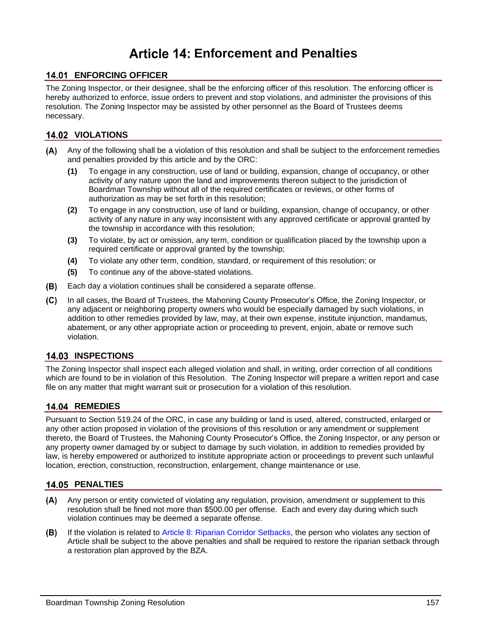# **Enforcement and Penalties**

# **14.01 ENFORCING OFFICER**

The Zoning Inspector, or their designee, shall be the enforcing officer of this resolution. The enforcing officer is hereby authorized to enforce, issue orders to prevent and stop violations, and administer the provisions of this resolution. The Zoning Inspector may be assisted by other personnel as the Board of Trustees deems necessary.

#### **14.02 VIOLATIONS**

- Any of the following shall be a violation of this resolution and shall be subject to the enforcement remedies and penalties provided by this article and by the ORC:
	- **(1)** To engage in any construction, use of land or building, expansion, change of occupancy, or other activity of any nature upon the land and improvements thereon subject to the jurisdiction of Boardman Township without all of the required certificates or reviews, or other forms of authorization as may be set forth in this resolution;
	- **(2)** To engage in any construction, use of land or building, expansion, change of occupancy, or other activity of any nature in any way inconsistent with any approved certificate or approval granted by the township in accordance with this resolution;
	- **(3)** To violate, by act or omission, any term, condition or qualification placed by the township upon a required certificate or approval granted by the township;
	- **(4)** To violate any other term, condition, standard, or requirement of this resolution; or
	- **(5)** To continue any of the above-stated violations.
- Each day a violation continues shall be considered a separate offense.  $(B)$
- $(C)$ In all cases, the Board of Trustees, the Mahoning County Prosecutor's Office, the Zoning Inspector, or any adjacent or neighboring property owners who would be especially damaged by such violations, in addition to other remedies provided by law, may, at their own expense, institute injunction, mandamus, abatement, or any other appropriate action or proceeding to prevent, enjoin, abate or remove such violation.

## **14.03 INSPECTIONS**

The Zoning Inspector shall inspect each alleged violation and shall, in writing, order correction of all conditions which are found to be in violation of this Resolution. The Zoning Inspector will prepare a written report and case file on any matter that might warrant suit or prosecution for a violation of this resolution.

## 14.04 REMEDIES

Pursuant to Section 519.24 of the ORC, in case any building or land is used, altered, constructed, enlarged or any other action proposed in violation of the provisions of this resolution or any amendment or supplement thereto, the Board of Trustees, the Mahoning County Prosecutor's Office, the Zoning Inspector, or any person or any property owner damaged by or subject to damage by such violation, in addition to remedies provided by law, is hereby empowered or authorized to institute appropriate action or proceedings to prevent such unlawful location, erection, construction, reconstruction, enlargement, change maintenance or use.

#### **14.05 PENALTIES**

- $(A)$ Any person or entity convicted of violating any regulation, provision, amendment or supplement to this resolution shall be fined not more than \$500.00 per offense. Each and every day during which such violation continues may be deemed a separate offense.
- If the violation is related to Article 8: Riparian Corridor Setbacks, the person who violates any section of (B) Article shall be subject to the above penalties and shall be required to restore the riparian setback through a restoration plan approved by the BZA.